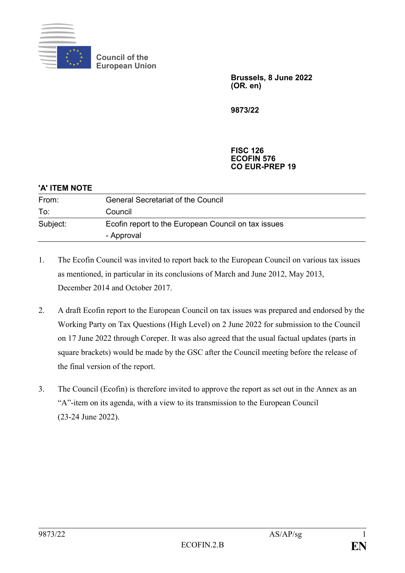

**Council of the European Union**

> **Brussels, 8 June 2022 (OR. en)**

**9873/22**

#### **FISC 126 ECOFIN 576 CO EUR-PREP 19**

| 'A' ITEM NOTE |                                                                   |
|---------------|-------------------------------------------------------------------|
| From:         | <b>General Secretariat of the Council</b>                         |
| To:           | Council                                                           |
| Subject:      | Ecofin report to the European Council on tax issues<br>- Approval |

- 1. The Ecofin Council was invited to report back to the European Council on various tax issues as mentioned, in particular in its conclusions of March and June 2012, May 2013, December 2014 and October 2017.
- 2. A draft Ecofin report to the European Council on tax issues was prepared and endorsed by the Working Party on Tax Questions (High Level) on 2 June 2022 for submission to the Council on 17 June 2022 through Coreper. It was also agreed that the usual factual updates (parts in square brackets) would be made by the GSC after the Council meeting before the release of the final version of the report.
- 3. The Council (Ecofin) is therefore invited to approve the report as set out in the Annex as an "A"-item on its agenda, with a view to its transmission to the European Council (23-24 June 2022).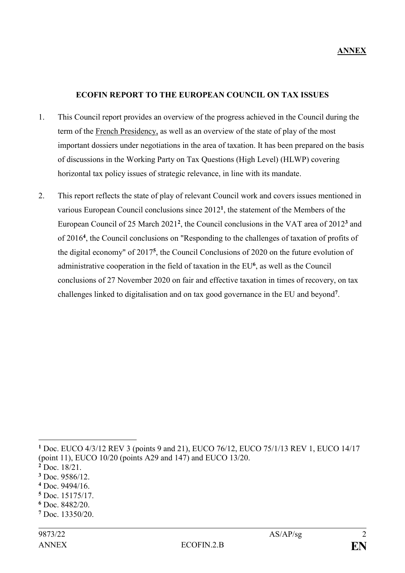#### **ECOFIN REPORT TO THE EUROPEAN COUNCIL ON TAX ISSUES**

- 1. This Council report provides an overview of the progress achieved in the Council during the term of the French Presidency, as well as an overview of the state of play of the most important dossiers under negotiations in the area of taxation. It has been prepared on the basis of discussions in the Working Party on Tax Questions (High Level) (HLWP) covering horizontal tax policy issues of strategic relevance, in line with its mandate.
- 2. This report reflects the state of play of relevant Council work and covers issues mentioned in various European Council conclusions since 2012**<sup>1</sup>** , the statement of the Members of the European Council of 25 March 2021**<sup>2</sup>** , the Council conclusions in the VAT area of 2012**<sup>3</sup>** and of 2016**<sup>4</sup>** , the Council conclusions on "Responding to the challenges of taxation of profits of the digital economy" of 2017**<sup>5</sup>** , the Council Conclusions of 2020 on the future evolution of administrative cooperation in the field of taxation in the EU**<sup>6</sup>** , as well as the Council conclusions of 27 November 2020 on fair and effective taxation in times of recovery, on tax challenges linked to digitalisation and on tax good governance in the EU and beyond**<sup>7</sup>** .

- **<sup>3</sup>** Doc. 9586/12.
- **<sup>4</sup>** Doc. 9494/16.
- **<sup>5</sup>** Doc. 15175/17.
- **<sup>6</sup>** Doc. 8482/20.
- **<sup>7</sup>** Doc. 13350/20.

**<sup>1</sup>** Doc. EUCO 4/3/12 REV 3 (points 9 and 21), EUCO 76/12, EUCO 75/1/13 REV 1, EUCO 14/17 (point 11), EUCO 10/20 (points A29 and 147) and EUCO 13/20.

**<sup>2</sup>** Doc. 18/21.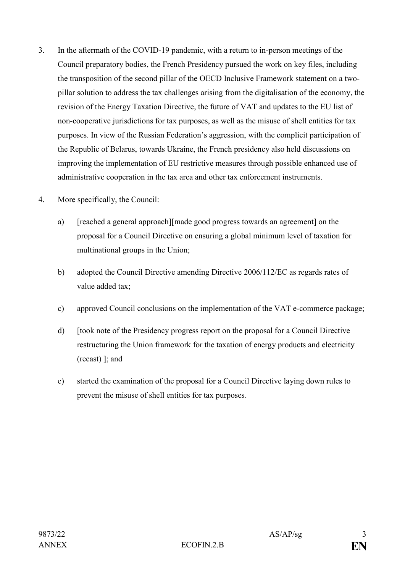- 3. In the aftermath of the COVID-19 pandemic, with a return to in-person meetings of the Council preparatory bodies, the French Presidency pursued the work on key files, including the transposition of the second pillar of the OECD Inclusive Framework statement on a twopillar solution to address the tax challenges arising from the digitalisation of the economy, the revision of the Energy Taxation Directive, the future of VAT and updates to the EU list of non-cooperative jurisdictions for tax purposes, as well as the misuse of shell entities for tax purposes. In view of the Russian Federation's aggression, with the complicit participation of the Republic of Belarus, towards Ukraine, the French presidency also held discussions on improving the implementation of EU restrictive measures through possible enhanced use of administrative cooperation in the tax area and other tax enforcement instruments.
- 4. More specifically, the Council:
	- a) [reached a general approach][made good progress towards an agreement] on the proposal for a Council Directive on ensuring a global minimum level of taxation for multinational groups in the Union;
	- b) adopted the Council Directive amending Directive 2006/112/EC as regards rates of value added tax;
	- c) approved Council conclusions on the implementation of the VAT e-commerce package;
	- d) [took note of the Presidency progress report on the proposal for a Council Directive restructuring the Union framework for the taxation of energy products and electricity (recast) ]; and
	- e) started the examination of the proposal for a Council Directive laying down rules to prevent the misuse of shell entities for tax purposes.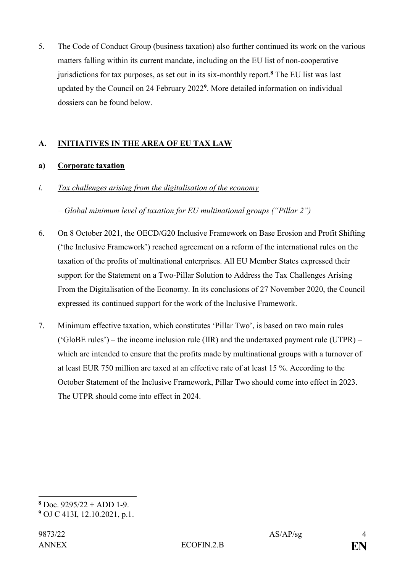5. The Code of Conduct Group (business taxation) also further continued its work on the various matters falling within its current mandate, including on the EU list of non-cooperative jurisdictions for tax purposes, as set out in its six-monthly report.**<sup>8</sup>** The EU list was last updated by the Council on 24 February 2022 **9** . More detailed information on individual dossiers can be found below.

# **A. INITIATIVES IN THE AREA OF EU TAX LAW**

# **a) Corporate taxation**

*i. Tax challenges arising from the digitalisation of the economy*

‒ *Global minimum level of taxation for EU multinational groups ("Pillar 2")*

- 6. On 8 October 2021, the OECD/G20 Inclusive Framework on Base Erosion and Profit Shifting ('the Inclusive Framework') reached agreement on a reform of the international rules on the taxation of the profits of multinational enterprises. All EU Member States expressed their support for the Statement on a Two-Pillar Solution to Address the Tax Challenges Arising From the Digitalisation of the Economy. In its conclusions of 27 November 2020, the Council expressed its continued support for the work of the Inclusive Framework.
- 7. Minimum effective taxation, which constitutes 'Pillar Two', is based on two main rules ('GloBE rules') – the income inclusion rule (IIR) and the undertaxed payment rule (UTPR) – which are intended to ensure that the profits made by multinational groups with a turnover of at least EUR 750 million are taxed at an effective rate of at least 15 %. According to the October Statement of the Inclusive Framework, Pillar Two should come into effect in 2023. The UTPR should come into effect in 2024.

**<sup>8</sup>** Doc. 9295/22 + ADD 1-9.

**<sup>9</sup>** OJ C 413I, 12.10.2021, p.1.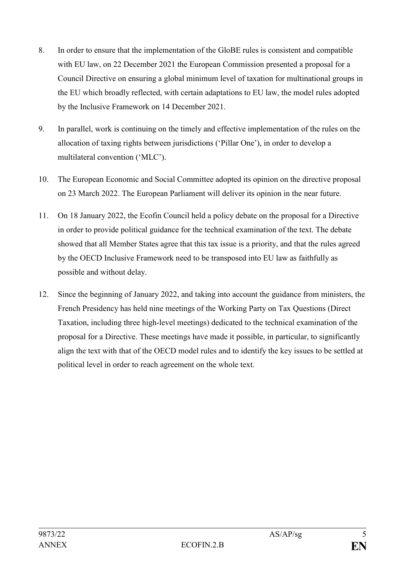- 8. In order to ensure that the implementation of the GloBE rules is consistent and compatible with EU law, on 22 December 2021 the European Commission presented a proposal for a Council Directive on ensuring a global minimum level of taxation for multinational groups in the EU which broadly reflected, with certain adaptations to EU law, the model rules adopted by the Inclusive Framework on 14 December 2021.
- 9. In parallel, work is continuing on the timely and effective implementation of the rules on the allocation of taxing rights between jurisdictions ('Pillar One'), in order to develop a multilateral convention ('MLC').
- 10. The European Economic and Social Committee adopted its opinion on the directive proposal on 23 March 2022. The European Parliament will deliver its opinion in the near future.
- 11. On 18 January 2022, the Ecofin Council held a policy debate on the proposal for a Directive in order to provide political guidance for the technical examination of the text. The debate showed that all Member States agree that this tax issue is a priority, and that the rules agreed by the OECD Inclusive Framework need to be transposed into EU law as faithfully as possible and without delay.
- 12. Since the beginning of January 2022, and taking into account the guidance from ministers, the French Presidency has held nine meetings of the Working Party on Tax Questions (Direct Taxation, including three high-level meetings) dedicated to the technical examination of the proposal for a Directive. These meetings have made it possible, in particular, to significantly align the text with that of the OECD model rules and to identify the key issues to be settled at political level in order to reach agreement on the whole text.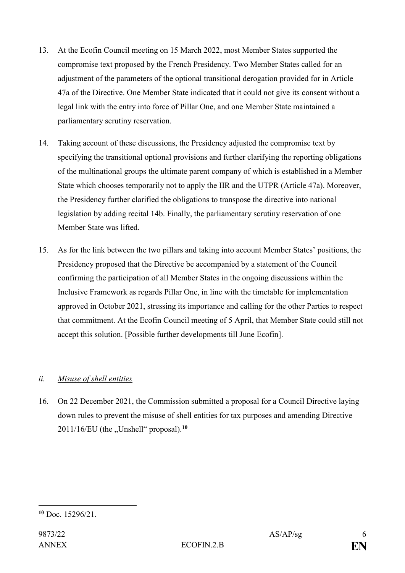- 13. At the Ecofin Council meeting on 15 March 2022, most Member States supported the compromise text proposed by the French Presidency. Two Member States called for an adjustment of the parameters of the optional transitional derogation provided for in Article 47a of the Directive. One Member State indicated that it could not give its consent without a legal link with the entry into force of Pillar One, and one Member State maintained a parliamentary scrutiny reservation.
- 14. Taking account of these discussions, the Presidency adjusted the compromise text by specifying the transitional optional provisions and further clarifying the reporting obligations of the multinational groups the ultimate parent company of which is established in a Member State which chooses temporarily not to apply the IIR and the UTPR (Article 47a). Moreover, the Presidency further clarified the obligations to transpose the directive into national legislation by adding recital 14b. Finally, the parliamentary scrutiny reservation of one Member State was lifted.
- 15. As for the link between the two pillars and taking into account Member States' positions, the Presidency proposed that the Directive be accompanied by a statement of the Council confirming the participation of all Member States in the ongoing discussions within the Inclusive Framework as regards Pillar One, in line with the timetable for implementation approved in October 2021, stressing its importance and calling for the other Parties to respect that commitment. At the Ecofin Council meeting of 5 April, that Member State could still not accept this solution. [Possible further developments till June Ecofin].

# *ii. Misuse of shell entities*

16. On 22 December 2021, the Commission submitted a proposal for a Council Directive laying down rules to prevent the misuse of shell entities for tax purposes and amending Directive  $2011/16/EU$  (the  $\sqrt{U}$ Unshell" proposal).<sup>10</sup>

<sup>&</sup>lt;u>.</u> **<sup>10</sup>** Doc. 15296/21.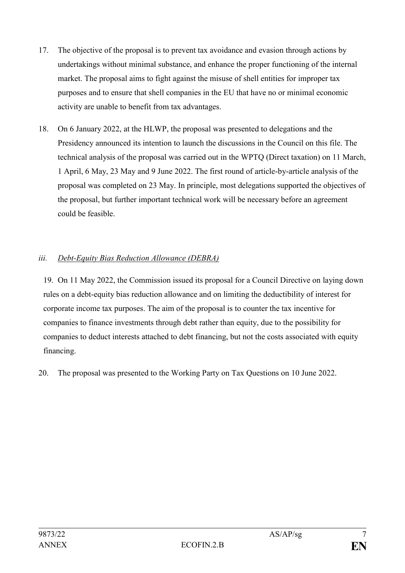- 17. The objective of the proposal is to prevent tax avoidance and evasion through actions by undertakings without minimal substance, and enhance the proper functioning of the internal market. The proposal aims to fight against the misuse of shell entities for improper tax purposes and to ensure that shell companies in the EU that have no or minimal economic activity are unable to benefit from tax advantages.
- 18. On 6 January 2022, at the HLWP, the proposal was presented to delegations and the Presidency announced its intention to launch the discussions in the Council on this file. The technical analysis of the proposal was carried out in the WPTQ (Direct taxation) on 11 March, 1 April, 6 May, 23 May and 9 June 2022. The first round of article-by-article analysis of the proposal was completed on 23 May. In principle, most delegations supported the objectives of the proposal, but further important technical work will be necessary before an agreement could be feasible.

# *iii. Debt-Equity Bias Reduction Allowance (DEBRA)*

19. On 11 May 2022, the Commission issued its proposal for a Council Directive on laying down rules on a debt-equity bias reduction allowance and on limiting the deductibility of interest for corporate income tax purposes. The aim of the proposal is to counter the tax incentive for companies to finance investments through debt rather than equity, due to the possibility for companies to deduct interests attached to debt financing, but not the costs associated with equity financing.

20. The proposal was presented to the Working Party on Tax Questions on 10 June 2022.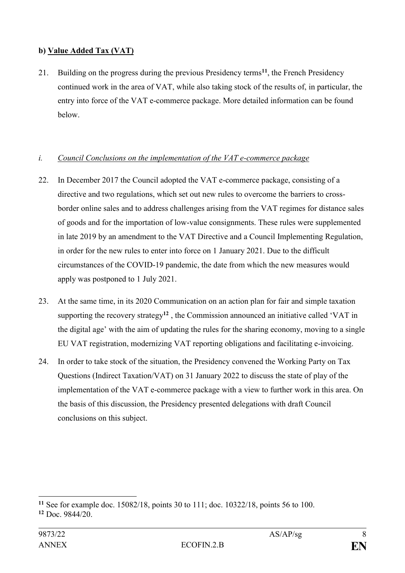# **b) Value Added Tax (VAT)**

21. Building on the progress during the previous Presidency terms**<sup>11</sup>**, the French Presidency continued work in the area of VAT, while also taking stock of the results of, in particular, the entry into force of the VAT e-commerce package. More detailed information can be found below.

# *i. Council Conclusions on the implementation of the VAT e-commerce package*

- 22. In December 2017 the Council adopted the VAT e-commerce package, consisting of a directive and two regulations, which set out new rules to overcome the barriers to crossborder online sales and to address challenges arising from the VAT regimes for distance sales of goods and for the importation of low-value consignments. These rules were supplemented in late 2019 by an amendment to the VAT Directive and a Council Implementing Regulation, in order for the new rules to enter into force on 1 January 2021. Due to the difficult circumstances of the COVID-19 pandemic, the date from which the new measures would apply was postponed to 1 July 2021.
- 23. At the same time, in its 2020 Communication on an action plan for fair and simple taxation supporting the recovery strategy**<sup>12</sup>** , the Commission announced an initiative called 'VAT in the digital age' with the aim of updating the rules for the sharing economy, moving to a single EU VAT registration, modernizing VAT reporting obligations and facilitating e-invoicing.
- 24. In order to take stock of the situation, the Presidency convened the Working Party on Tax Questions (Indirect Taxation/VAT) on 31 January 2022 to discuss the state of play of the implementation of the VAT e-commerce package with a view to further work in this area. On the basis of this discussion, the Presidency presented delegations with draft Council conclusions on this subject.

<sup>1</sup> **<sup>11</sup>** See for example doc. 15082/18, points 30 to 111; doc. 10322/18, points 56 to 100. **<sup>12</sup>** Doc. 9844/20.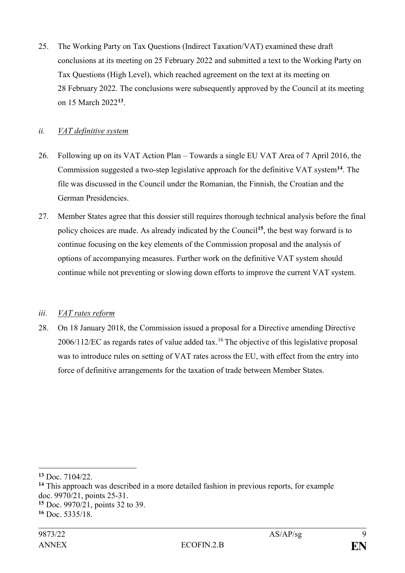25. The Working Party on Tax Questions (Indirect Taxation/VAT) examined these draft conclusions at its meeting on 25 February 2022 and submitted a text to the Working Party on Tax Questions (High Level), which reached agreement on the text at its meeting on 28 February 2022. The conclusions were subsequently approved by the Council at its meeting on 15 March 2022**<sup>13</sup>** .

### *ii. VAT definitive system*

- 26. Following up on its VAT Action Plan Towards a single EU VAT Area of 7 April 2016, the Commission suggested a two-step legislative approach for the definitive VAT system**<sup>14</sup>**. The file was discussed in the Council under the Romanian, the Finnish, the Croatian and the German Presidencies.
- 27. Member States agree that this dossier still requires thorough technical analysis before the final policy choices are made. As already indicated by the Council**<sup>15</sup>**, the best way forward is to continue focusing on the key elements of the Commission proposal and the analysis of options of accompanying measures. Further work on the definitive VAT system should continue while not preventing or slowing down efforts to improve the current VAT system.

### *iii. VAT rates reform*

28. On 18 January 2018, the Commission issued a proposal for a Directive amending Directive  $2006/112/EC$  as regards rates of value added tax.<sup>16</sup> The objective of this legislative proposal was to introduce rules on setting of VAT rates across the EU, with effect from the entry into force of definitive arrangements for the taxation of trade between Member States.

1

**<sup>14</sup>** This approach was described in a more detailed fashion in previous reports, for example doc. 9970/21, points 25-31. **<sup>15</sup>** Doc. 9970/21, points 32 to 39.

**<sup>13</sup>** Doc. 7104/22.

**<sup>16</sup>** Doc. 5335/18.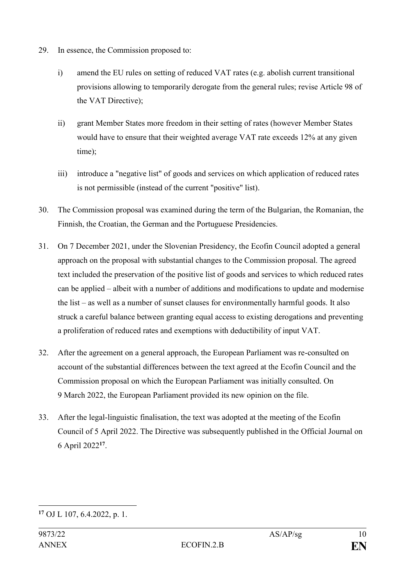- 29. In essence, the Commission proposed to:
	- i) amend the EU rules on setting of reduced VAT rates (e.g. abolish current transitional provisions allowing to temporarily derogate from the general rules; revise Article 98 of the VAT Directive);
	- ii) grant Member States more freedom in their setting of rates (however Member States would have to ensure that their weighted average VAT rate exceeds 12% at any given time);
	- iii) introduce a "negative list" of goods and services on which application of reduced rates is not permissible (instead of the current "positive" list).
- 30. The Commission proposal was examined during the term of the Bulgarian, the Romanian, the Finnish, the Croatian, the German and the Portuguese Presidencies.
- 31. On 7 December 2021, under the Slovenian Presidency, the Ecofin Council adopted a general approach on the proposal with substantial changes to the Commission proposal. The agreed text included the preservation of the positive list of goods and services to which reduced rates can be applied – albeit with a number of additions and modifications to update and modernise the list – as well as a number of sunset clauses for environmentally harmful goods. It also struck a careful balance between granting equal access to existing derogations and preventing a proliferation of reduced rates and exemptions with deductibility of input VAT.
- 32. After the agreement on a general approach, the European Parliament was re-consulted on account of the substantial differences between the text agreed at the Ecofin Council and the Commission proposal on which the European Parliament was initially consulted. On 9 March 2022, the European Parliament provided its new opinion on the file.
- 33. After the legal-linguistic finalisation, the text was adopted at the meeting of the Ecofin Council of 5 April 2022. The Directive was subsequently published in the Official Journal on 6 April 2022**<sup>17</sup>** .

<sup>&</sup>lt;u>.</u> **<sup>17</sup>** OJ L 107, 6.4.2022, p. 1.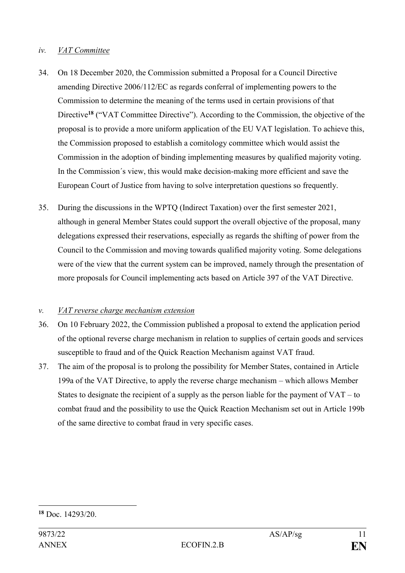#### *iv. VAT Committee*

- 34. On 18 December 2020, the Commission submitted a Proposal for a Council Directive amending Directive 2006/112/EC as regards conferral of implementing powers to the Commission to determine the meaning of the terms used in certain provisions of that Directive<sup>18</sup> ("VAT Committee Directive"). According to the Commission, the objective of the proposal is to provide a more uniform application of the EU VAT legislation. To achieve this, the Commission proposed to establish a comitology committee which would assist the Commission in the adoption of binding implementing measures by qualified majority voting. In the Commission´s view, this would make decision-making more efficient and save the European Court of Justice from having to solve interpretation questions so frequently.
- 35. During the discussions in the WPTQ (Indirect Taxation) over the first semester 2021, although in general Member States could support the overall objective of the proposal, many delegations expressed their reservations, especially as regards the shifting of power from the Council to the Commission and moving towards qualified majority voting. Some delegations were of the view that the current system can be improved, namely through the presentation of more proposals for Council implementing acts based on Article 397 of the VAT Directive.

### *v. VAT reverse charge mechanism extension*

- 36. On 10 February 2022, the Commission published a proposal to extend the application period of the optional reverse charge mechanism in relation to supplies of certain goods and services susceptible to fraud and of the Quick Reaction Mechanism against VAT fraud.
- 37. The aim of the proposal is to prolong the possibility for Member States, contained in Article 199a of the VAT Directive, to apply the reverse charge mechanism – which allows Member States to designate the recipient of a supply as the person liable for the payment of  $VAT - to$ combat fraud and the possibility to use the Quick Reaction Mechanism set out in Article 199b of the same directive to combat fraud in very specific cases.

<sup>&</sup>lt;u>.</u> **<sup>18</sup>** Doc. 14293/20.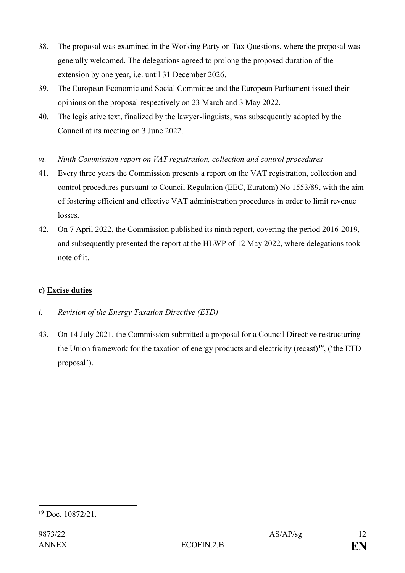- 38. The proposal was examined in the Working Party on Tax Questions, where the proposal was generally welcomed. The delegations agreed to prolong the proposed duration of the extension by one year, i.e. until 31 December 2026.
- 39. The European Economic and Social Committee and the European Parliament issued their opinions on the proposal respectively on 23 March and 3 May 2022.
- 40. The legislative text, finalized by the lawyer-linguists, was subsequently adopted by the Council at its meeting on 3 June 2022.

### *vi. Ninth Commission report on VAT registration, collection and control procedures*

- 41. Every three years the Commission presents a report on the VAT registration, collection and control procedures pursuant to Council Regulation (EEC, Euratom) No 1553/89, with the aim of fostering efficient and effective VAT administration procedures in order to limit revenue losses.
- 42. On 7 April 2022, the Commission published its ninth report, covering the period 2016-2019, and subsequently presented the report at the HLWP of 12 May 2022, where delegations took note of it.

# **c) Excise duties**

# *i. Revision of the Energy Taxation Directive (ETD)*

43. On 14 July 2021, the Commission submitted a proposal for a Council Directive restructuring the Union framework for the taxation of energy products and electricity (recast)**<sup>19</sup>**, ('the ETD proposal').

<sup>&</sup>lt;u>.</u> **<sup>19</sup>** Doc. 10872/21.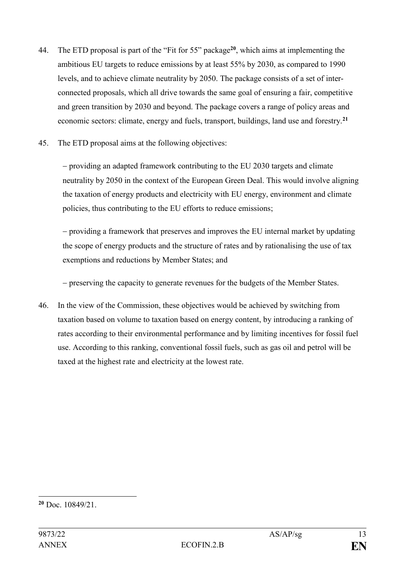- 44. The ETD proposal is part of the "Fit for 55" package**<sup>20</sup>**, which aims at implementing the ambitious EU targets to reduce emissions by at least 55% by 2030, as compared to 1990 levels, and to achieve climate neutrality by 2050. The package consists of a set of interconnected proposals, which all drive towards the same goal of ensuring a fair, competitive and green transition by 2030 and beyond. The package covers a range of policy areas and economic sectors: climate, energy and fuels, transport, buildings, land use and forestry.**<sup>21</sup>**
- 45. The ETD proposal aims at the following objectives:

‒ providing an adapted framework contributing to the EU 2030 targets and climate neutrality by 2050 in the context of the European Green Deal. This would involve aligning the taxation of energy products and electricity with EU energy, environment and climate policies, thus contributing to the EU efforts to reduce emissions;

‒ providing a framework that preserves and improves the EU internal market by updating the scope of energy products and the structure of rates and by rationalising the use of tax exemptions and reductions by Member States; and

‒ preserving the capacity to generate revenues for the budgets of the Member States.

46. In the view of the Commission, these objectives would be achieved by switching from taxation based on volume to taxation based on energy content, by introducing a ranking of rates according to their environmental performance and by limiting incentives for fossil fuel use. According to this ranking, conventional fossil fuels, such as gas oil and petrol will be taxed at the highest rate and electricity at the lowest rate.

**<sup>20</sup>** Doc. 10849/21.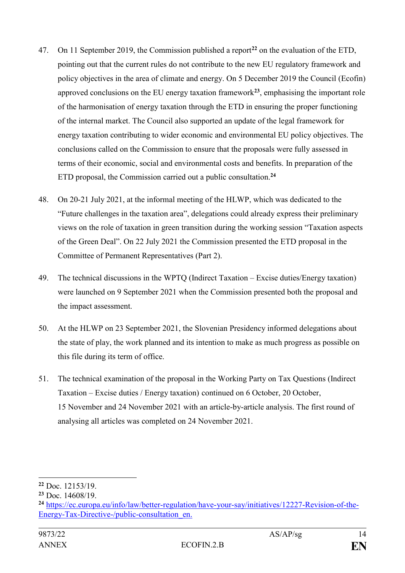- 47. On 11 September 2019, the Commission published a report**<sup>22</sup>** on the evaluation of the ETD, pointing out that the current rules do not contribute to the new EU regulatory framework and policy objectives in the area of climate and energy. On 5 December 2019 the Council (Ecofin) approved conclusions on the EU energy taxation framework**<sup>23</sup>** , emphasising the important role of the harmonisation of energy taxation through the ETD in ensuring the proper functioning of the internal market. The Council also supported an update of the legal framework for energy taxation contributing to wider economic and environmental EU policy objectives. The conclusions called on the Commission to ensure that the proposals were fully assessed in terms of their economic, social and environmental costs and benefits. In preparation of the ETD proposal, the Commission carried out a public consultation.**<sup>24</sup>**
- 48. On 20-21 July 2021, at the informal meeting of the HLWP, which was dedicated to the "Future challenges in the taxation area", delegations could already express their preliminary views on the role of taxation in green transition during the working session "Taxation aspects of the Green Deal". On 22 July 2021 the Commission presented the ETD proposal in the Committee of Permanent Representatives (Part 2).
- 49. The technical discussions in the WPTQ (Indirect Taxation Excise duties/Energy taxation) were launched on 9 September 2021 when the Commission presented both the proposal and the impact assessment.
- 50. At the HLWP on 23 September 2021, the Slovenian Presidency informed delegations about the state of play, the work planned and its intention to make as much progress as possible on this file during its term of office.
- 51. The technical examination of the proposal in the Working Party on Tax Questions (Indirect Taxation – Excise duties / Energy taxation) continued on 6 October, 20 October, 15 November and 24 November 2021 with an article-by-article analysis. The first round of analysing all articles was completed on 24 November 2021.

**<sup>22</sup>** Doc. 12153/19.

**<sup>23</sup>** Doc. 14608/19.

**<sup>24</sup>** [https://ec.europa.eu/info/law/better-regulation/have-your-say/initiatives/12227-Revision-of-the-](https://ec.europa.eu/info/law/better-regulation/have-your-say/initiatives/12227-Revision-of-the-Energy-Tax-Directive-/public-consultation_en)[Energy-Tax-Directive-/public-consultation\\_en.](https://ec.europa.eu/info/law/better-regulation/have-your-say/initiatives/12227-Revision-of-the-Energy-Tax-Directive-/public-consultation_en)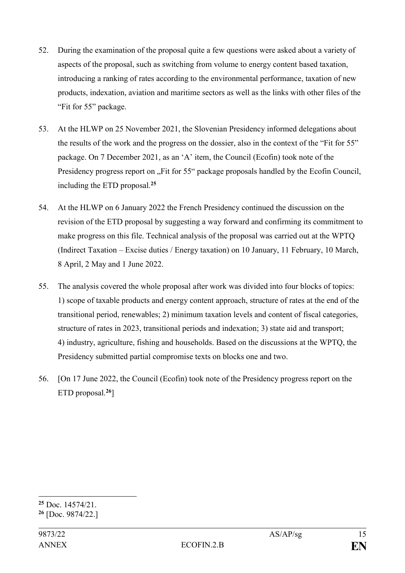- 52. During the examination of the proposal quite a few questions were asked about a variety of aspects of the proposal, such as switching from volume to energy content based taxation, introducing a ranking of rates according to the environmental performance, taxation of new products, indexation, aviation and maritime sectors as well as the links with other files of the "Fit for 55" package.
- 53. At the HLWP on 25 November 2021, the Slovenian Presidency informed delegations about the results of the work and the progress on the dossier, also in the context of the "Fit for 55" package. On 7 December 2021, as an 'A' item, the Council (Ecofin) took note of the Presidency progress report on "Fit for 55" package proposals handled by the Ecofin Council, including the ETD proposal.**<sup>25</sup>**
- 54. At the HLWP on 6 January 2022 the French Presidency continued the discussion on the revision of the ETD proposal by suggesting a way forward and confirming its commitment to make progress on this file. Technical analysis of the proposal was carried out at the WPTQ (Indirect Taxation – Excise duties / Energy taxation) on 10 January, 11 February, 10 March, 8 April, 2 May and 1 June 2022.
- 55. The analysis covered the whole proposal after work was divided into four blocks of topics: 1) scope of taxable products and energy content approach, structure of rates at the end of the transitional period, renewables; 2) minimum taxation levels and content of fiscal categories, structure of rates in 2023, transitional periods and indexation; 3) state aid and transport; 4) industry, agriculture, fishing and households. Based on the discussions at the WPTQ, the Presidency submitted partial compromise texts on blocks one and two.
- 56. [On 17 June 2022, the Council (Ecofin) took note of the Presidency progress report on the ETD proposal.**<sup>26</sup>**]

**<sup>25</sup>** Doc. 14574/21.

**<sup>26</sup>** [Doc. 9874/22.]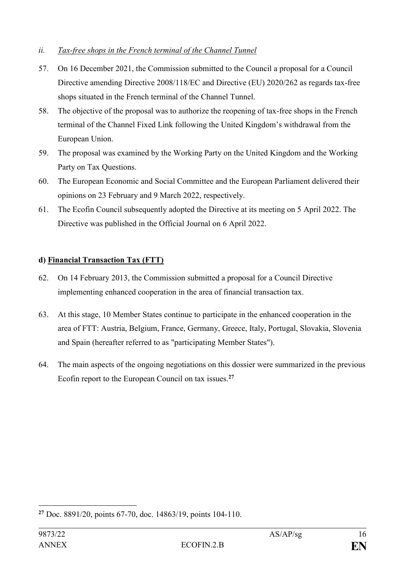### *ii. Tax-free shops in the French terminal of the Channel Tunnel*

- 57. On 16 December 2021, the Commission submitted to the Council a proposal for a Council Directive amending Directive 2008/118/EC and Directive (EU) 2020/262 as regards tax-free shops situated in the French terminal of the Channel Tunnel.
- 58. The objective of the proposal was to authorize the reopening of tax-free shops in the French terminal of the Channel Fixed Link following the United Kingdom's withdrawal from the European Union.
- 59. The proposal was examined by the Working Party on the United Kingdom and the Working Party on Tax Questions.
- 60. The European Economic and Social Committee and the European Parliament delivered their opinions on 23 February and 9 March 2022, respectively.
- 61. The Ecofin Council subsequently adopted the Directive at its meeting on 5 April 2022. The Directive was published in the Official Journal on 6 April 2022.

# **d) Financial Transaction Tax (FTT)**

- 62. On 14 February 2013, the Commission submitted a proposal for a Council Directive implementing enhanced cooperation in the area of financial transaction tax.
- 63. At this stage, 10 Member States continue to participate in the enhanced cooperation in the area of FTT: Austria, Belgium, France, Germany, Greece, Italy, Portugal, Slovakia, Slovenia and Spain (hereafter referred to as "participating Member States").
- 64. The main aspects of the ongoing negotiations on this dossier were summarized in the previous Ecofin report to the European Council on tax issues.**<sup>27</sup>**

<sup>&</sup>lt;u>.</u> **<sup>27</sup>** Doc. 8891/20, points 67-70, doc. 14863/19, points 104-110.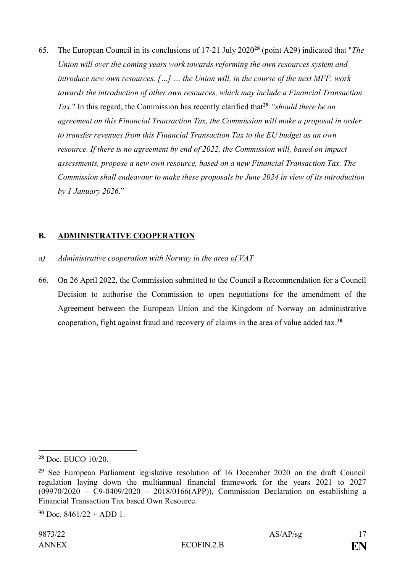65. The European Council in its conclusions of 17-21 July 2020**<sup>28</sup>** (point A29) indicated that "*The Union will over the coming years work towards reforming the own resources system and introduce new own resources. […] … the Union will, in the course of the next MFF, work towards the introduction of other own resources, which may include a Financial Transaction Tax*." In this regard, the Commission has recently clarified that**<sup>29</sup>** *"should there be an agreement on this Financial Transaction Tax, the Commission will make a proposal in order to transfer revenues from this Financial Transaction Tax to the EU budget as an own resource. If there is no agreement by end of 2022, the Commission will, based on impact assessments, propose a new own resource, based on a new Financial Transaction Tax. The Commission shall endeavour to make these proposals by June 2024 in view of its introduction by 1 January 2026*."

# **B. ADMINISTRATIVE COOPERATION**

- *a) Administrative cooperation with Norway in the area of VAT*
- 66. On 26 April 2022, the Commission submitted to the Council a Recommendation for a Council Decision to authorise the Commission to open negotiations for the amendment of the Agreement between the European Union and the Kingdom of Norway on administrative cooperation, fight against fraud and recovery of claims in the area of value added tax. **30**

<u>.</u>

**<sup>28</sup>** Doc. EUCO 10/20.

**<sup>29</sup>** See European Parliament legislative resolution of 16 December 2020 on the draft Council regulation laying down the multiannual financial framework for the years 2021 to 2027 (09970/2020 – C9-0409/2020 – 2018/0166(APP)), Commission Declaration on establishing a Financial Transaction Tax based Own Resource.

 $30 \text{ Doc}$  8461/22 + ADD 1.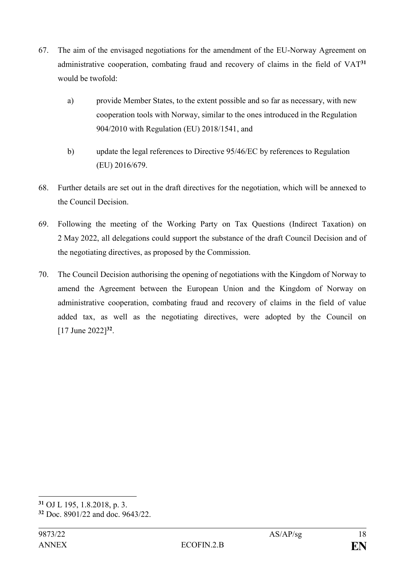- 67. The aim of the envisaged negotiations for the amendment of the EU-Norway Agreement on administrative cooperation, combating fraud and recovery of claims in the field of VAT**<sup>31</sup>** would be twofold:
	- a) provide Member States, to the extent possible and so far as necessary, with new cooperation tools with Norway, similar to the ones introduced in the Regulation 904/2010 with Regulation (EU) 2018/1541, and
	- b) update the legal references to Directive 95/46/EC by references to Regulation (EU) 2016/679.
- 68. Further details are set out in the draft directives for the negotiation, which will be annexed to the Council Decision.
- 69. Following the meeting of the Working Party on Tax Questions (Indirect Taxation) on 2 May 2022, all delegations could support the substance of the draft Council Decision and of the negotiating directives, as proposed by the Commission.
- 70. The Council Decision authorising the opening of negotiations with the Kingdom of Norway to amend the Agreement between the European Union and the Kingdom of Norway on administrative cooperation, combating fraud and recovery of claims in the field of value added tax, as well as the negotiating directives, were adopted by the Council on [17 June 2022] **32** .

**<sup>31</sup>** OJ L 195, 1.8.2018, p. 3.

**<sup>32</sup>** Doc. 8901/22 and doc. 9643/22.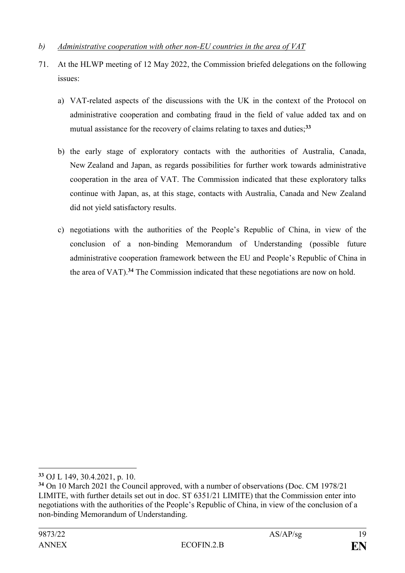### *b) Administrative cooperation with other non-EU countries in the area of VAT*

- 71. At the HLWP meeting of 12 May 2022, the Commission briefed delegations on the following issues:
	- a) VAT-related aspects of the discussions with the UK in the context of the Protocol on administrative cooperation and combating fraud in the field of value added tax and on mutual assistance for the recovery of claims relating to taxes and duties;**<sup>33</sup>**
	- b) the early stage of exploratory contacts with the authorities of Australia, Canada, New Zealand and Japan, as regards possibilities for further work towards administrative cooperation in the area of VAT. The Commission indicated that these exploratory talks continue with Japan, as, at this stage, contacts with Australia, Canada and New Zealand did not yield satisfactory results.
	- c) negotiations with the authorities of the People's Republic of China, in view of the conclusion of a non-binding Memorandum of Understanding (possible future administrative cooperation framework between the EU and People's Republic of China in the area of VAT).**<sup>34</sup>** The Commission indicated that these negotiations are now on hold.

**<sup>33</sup>** OJ L 149, 30.4.2021, p. 10.

**<sup>34</sup>** On 10 March 2021 the Council approved, with a number of observations (Doc. CM 1978/21 LIMITE, with further details set out in doc. ST 6351/21 LIMITE) that the Commission enter into negotiations with the authorities of the People's Republic of China, in view of the conclusion of a non-binding Memorandum of Understanding.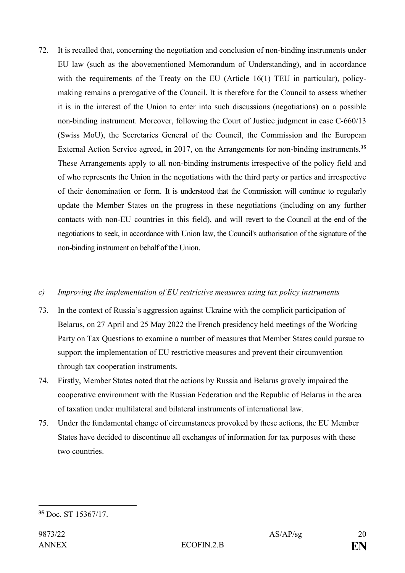72. It is recalled that, concerning the negotiation and conclusion of non-binding instruments under EU law (such as the abovementioned Memorandum of Understanding), and in accordance with the requirements of the Treaty on the EU (Article 16(1) TEU in particular), policymaking remains a prerogative of the Council. It is therefore for the Council to assess whether it is in the interest of the Union to enter into such discussions (negotiations) on a possible non-binding instrument. Moreover, following the Court of Justice judgment in case C-660/13 (Swiss MoU), the Secretaries General of the Council, the Commission and the European External Action Service agreed, in 2017, on the Arrangements for non-binding instruments.**<sup>35</sup>** These Arrangements apply to all non-binding instruments irrespective of the policy field and of who represents the Union in the negotiations with the third party or parties and irrespective of their denomination or form. It is understood that the Commission will continue to regularly update the Member States on the progress in these negotiations (including on any further contacts with non-EU countries in this field), and will revert to the Council at the end of the negotiations to seek, in accordance with Union law, the Council's authorisation of the signature of the non-binding instrument on behalf of the Union.

#### *c) Improving the implementation of EU restrictive measures using tax policy instruments*

- 73. In the context of Russia's aggression against Ukraine with the complicit participation of Belarus, on 27 April and 25 May 2022 the French presidency held meetings of the Working Party on Tax Questions to examine a number of measures that Member States could pursue to support the implementation of EU restrictive measures and prevent their circumvention through tax cooperation instruments.
- 74. Firstly, Member States noted that the actions by Russia and Belarus gravely impaired the cooperative environment with the Russian Federation and the Republic of Belarus in the area of taxation under multilateral and bilateral instruments of international law.
- 75. Under the fundamental change of circumstances provoked by these actions, the EU Member States have decided to discontinue all exchanges of information for tax purposes with these two countries.

<sup>&</sup>lt;u>.</u> **<sup>35</sup>** Doc. ST 15367/17.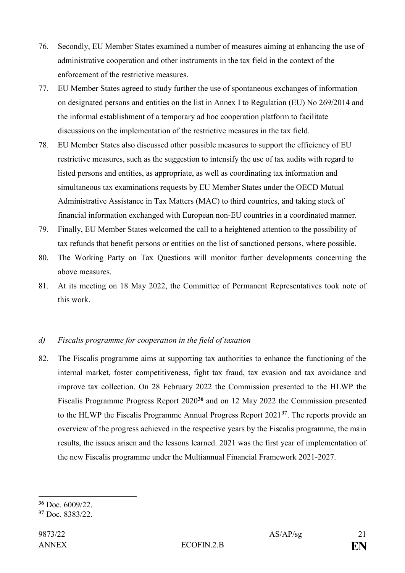- 76. Secondly, EU Member States examined a number of measures aiming at enhancing the use of administrative cooperation and other instruments in the tax field in the context of the enforcement of the restrictive measures.
- 77. EU Member States agreed to study further the use of spontaneous exchanges of information on designated persons and entities on the list in Annex I to Regulation (EU) No 269/2014 and the informal establishment of a temporary ad hoc cooperation platform to facilitate discussions on the implementation of the restrictive measures in the tax field.
- 78. EU Member States also discussed other possible measures to support the efficiency of EU restrictive measures, such as the suggestion to intensify the use of tax audits with regard to listed persons and entities, as appropriate, as well as coordinating tax information and simultaneous tax examinations requests by EU Member States under the OECD Mutual Administrative Assistance in Tax Matters (MAC) to third countries, and taking stock of financial information exchanged with European non-EU countries in a coordinated manner.
- 79. Finally, EU Member States welcomed the call to a heightened attention to the possibility of tax refunds that benefit persons or entities on the list of sanctioned persons, where possible.
- 80. The Working Party on Tax Questions will monitor further developments concerning the above measures.
- 81. At its meeting on 18 May 2022, the Committee of Permanent Representatives took note of this work.

### *d) Fiscalis programme for cooperation in the field of taxation*

82. The Fiscalis programme aims at supporting tax authorities to enhance the functioning of the internal market, foster competitiveness, fight tax fraud, tax evasion and tax avoidance and improve tax collection. On 28 February 2022 the Commission presented to the HLWP the Fiscalis Programme Progress Report 2020**<sup>36</sup>** and on 12 May 2022 the Commission presented to the HLWP the Fiscalis Programme Annual Progress Report 2021**<sup>37</sup>** . The reports provide an overview of the progress achieved in the respective years by the Fiscalis programme, the main results, the issues arisen and the lessons learned. 2021 was the first year of implementation of the new Fiscalis programme under the Multiannual Financial Framework 2021-2027.

<sup>1</sup> **<sup>36</sup>** Doc. 6009/22.

**<sup>37</sup>** Doc. 8383/22.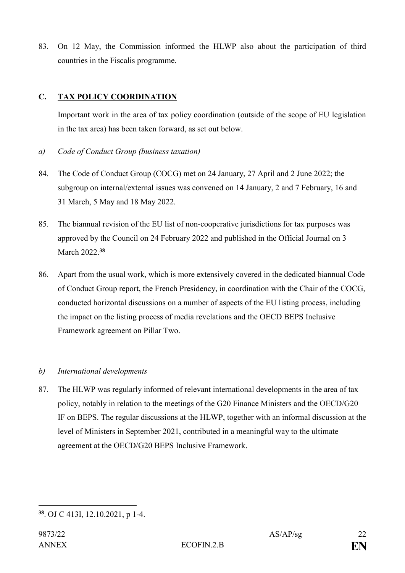83. On 12 May, the Commission informed the HLWP also about the participation of third countries in the Fiscalis programme.

### **C. TAX POLICY COORDINATION**

Important work in the area of tax policy coordination (outside of the scope of EU legislation in the tax area) has been taken forward, as set out below.

### *a) Code of Conduct Group (business taxation)*

- 84. The Code of Conduct Group (COCG) met on 24 January, 27 April and 2 June 2022; the subgroup on internal/external issues was convened on 14 January, 2 and 7 February, 16 and 31 March, 5 May and 18 May 2022.
- 85. The biannual revision of the EU list of non-cooperative jurisdictions for tax purposes was approved by the Council on 24 February 2022 and published in the Official Journal on 3 March 2022. **38**
- 86. Apart from the usual work, which is more extensively covered in the dedicated biannual Code of Conduct Group report, the French Presidency, in coordination with the Chair of the COCG, conducted horizontal discussions on a number of aspects of the EU listing process, including the impact on the listing process of media revelations and the OECD BEPS Inclusive Framework agreement on Pillar Two.

### *b) International developments*

87. The HLWP was regularly informed of relevant international developments in the area of tax policy, notably in relation to the meetings of the G20 Finance Ministers and the OECD/G20 IF on BEPS. The regular discussions at the HLWP, together with an informal discussion at the level of Ministers in September 2021, contributed in a meaningful way to the ultimate agreement at the OECD/G20 BEPS Inclusive Framework.

<sup>&</sup>lt;u>.</u> **38** . OJ C 413I, 12.10.2021, p 1-4.